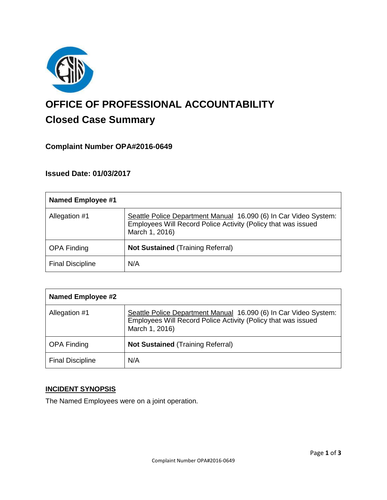

# **OFFICE OF PROFESSIONAL ACCOUNTABILITY Closed Case Summary**

## **Complaint Number OPA#2016-0649**

### **Issued Date: 01/03/2017**

| <b>Named Employee #1</b> |                                                                                                                                                     |
|--------------------------|-----------------------------------------------------------------------------------------------------------------------------------------------------|
| Allegation #1            | Seattle Police Department Manual 16.090 (6) In Car Video System:<br>Employees Will Record Police Activity (Policy that was issued<br>March 1, 2016) |
| <b>OPA Finding</b>       | <b>Not Sustained (Training Referral)</b>                                                                                                            |
| <b>Final Discipline</b>  | N/A                                                                                                                                                 |

| <b>Named Employee #2</b> |                                                                                                                                                     |
|--------------------------|-----------------------------------------------------------------------------------------------------------------------------------------------------|
| Allegation #1            | Seattle Police Department Manual 16.090 (6) In Car Video System:<br>Employees Will Record Police Activity (Policy that was issued<br>March 1, 2016) |
| <b>OPA Finding</b>       | <b>Not Sustained (Training Referral)</b>                                                                                                            |
| <b>Final Discipline</b>  | N/A                                                                                                                                                 |

#### **INCIDENT SYNOPSIS**

The Named Employees were on a joint operation.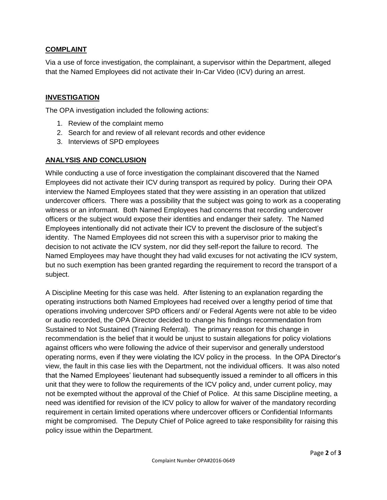### **COMPLAINT**

Via a use of force investigation, the complainant, a supervisor within the Department, alleged that the Named Employees did not activate their In-Car Video (ICV) during an arrest.

#### **INVESTIGATION**

The OPA investigation included the following actions:

- 1. Review of the complaint memo
- 2. Search for and review of all relevant records and other evidence
- 3. Interviews of SPD employees

### **ANALYSIS AND CONCLUSION**

While conducting a use of force investigation the complainant discovered that the Named Employees did not activate their ICV during transport as required by policy. During their OPA interview the Named Employees stated that they were assisting in an operation that utilized undercover officers. There was a possibility that the subject was going to work as a cooperating witness or an informant. Both Named Employees had concerns that recording undercover officers or the subject would expose their identities and endanger their safety. The Named Employees intentionally did not activate their ICV to prevent the disclosure of the subject's identity. The Named Employees did not screen this with a supervisor prior to making the decision to not activate the ICV system, nor did they self-report the failure to record. The Named Employees may have thought they had valid excuses for not activating the ICV system, but no such exemption has been granted regarding the requirement to record the transport of a subject.

A Discipline Meeting for this case was held. After listening to an explanation regarding the operating instructions both Named Employees had received over a lengthy period of time that operations involving undercover SPD officers and/ or Federal Agents were not able to be video or audio recorded, the OPA Director decided to change his findings recommendation from Sustained to Not Sustained (Training Referral). The primary reason for this change in recommendation is the belief that it would be unjust to sustain allegations for policy violations against officers who were following the advice of their supervisor and generally understood operating norms, even if they were violating the ICV policy in the process. In the OPA Director's view, the fault in this case lies with the Department, not the individual officers. It was also noted that the Named Employees' lieutenant had subsequently issued a reminder to all officers in this unit that they were to follow the requirements of the ICV policy and, under current policy, may not be exempted without the approval of the Chief of Police. At this same Discipline meeting, a need was identified for revision of the ICV policy to allow for waiver of the mandatory recording requirement in certain limited operations where undercover officers or Confidential Informants might be compromised. The Deputy Chief of Police agreed to take responsibility for raising this policy issue within the Department.